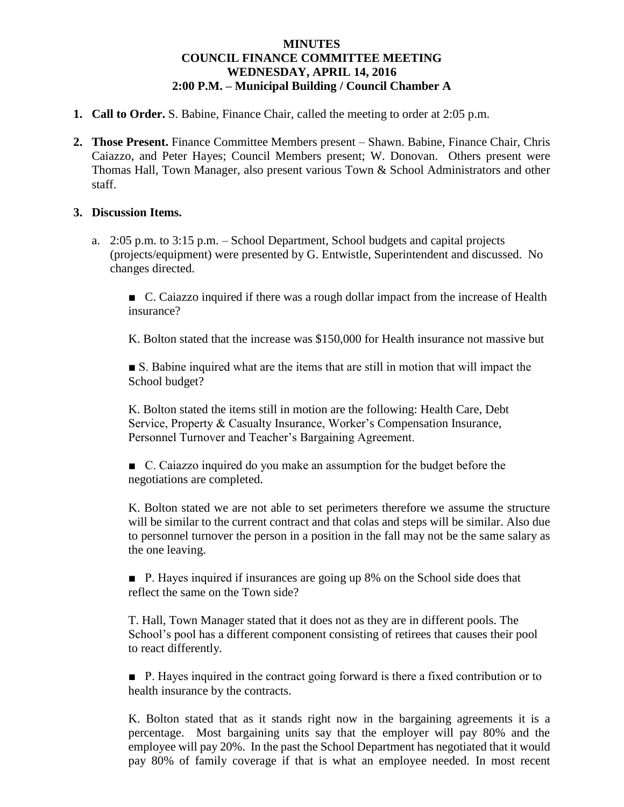## **MINUTES COUNCIL FINANCE COMMITTEE MEETING WEDNESDAY, APRIL 14, 2016 2:00 P.M. – Municipal Building / Council Chamber A**

- **1. Call to Order.** S. Babine, Finance Chair, called the meeting to order at 2:05 p.m.
- **2. Those Present.** Finance Committee Members present Shawn. Babine, Finance Chair, Chris Caiazzo, and Peter Hayes; Council Members present; W. Donovan. Others present were Thomas Hall, Town Manager, also present various Town & School Administrators and other staff.

## **3. Discussion Items.**

a. 2:05 p.m. to 3:15 p.m. – School Department, School budgets and capital projects (projects/equipment) were presented by G. Entwistle, Superintendent and discussed. No changes directed.

■ C. Caiazzo inquired if there was a rough dollar impact from the increase of Health insurance?

K. Bolton stated that the increase was \$150,000 for Health insurance not massive but

■ S. Babine inquired what are the items that are still in motion that will impact the School budget?

K. Bolton stated the items still in motion are the following: Health Care, Debt Service, Property & Casualty Insurance, Worker's Compensation Insurance, Personnel Turnover and Teacher's Bargaining Agreement.

■ C. Caiazzo inquired do you make an assumption for the budget before the negotiations are completed.

K. Bolton stated we are not able to set perimeters therefore we assume the structure will be similar to the current contract and that colas and steps will be similar. Also due to personnel turnover the person in a position in the fall may not be the same salary as the one leaving.

■ P. Hayes inquired if insurances are going up 8% on the School side does that reflect the same on the Town side?

T. Hall, Town Manager stated that it does not as they are in different pools. The School's pool has a different component consisting of retirees that causes their pool to react differently.

■ P. Hayes inquired in the contract going forward is there a fixed contribution or to health insurance by the contracts.

K. Bolton stated that as it stands right now in the bargaining agreements it is a percentage. Most bargaining units say that the employer will pay 80% and the employee will pay 20%. In the past the School Department has negotiated that it would pay 80% of family coverage if that is what an employee needed. In most recent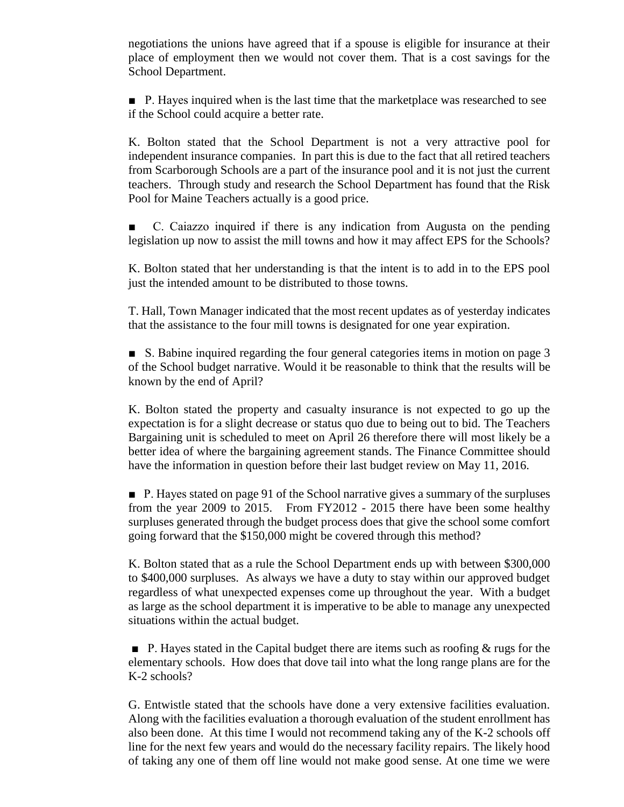negotiations the unions have agreed that if a spouse is eligible for insurance at their place of employment then we would not cover them. That is a cost savings for the School Department.

■ P. Hayes inquired when is the last time that the marketplace was researched to see if the School could acquire a better rate.

K. Bolton stated that the School Department is not a very attractive pool for independent insurance companies. In part this is due to the fact that all retired teachers from Scarborough Schools are a part of the insurance pool and it is not just the current teachers. Through study and research the School Department has found that the Risk Pool for Maine Teachers actually is a good price.

C. Caiazzo inquired if there is any indication from Augusta on the pending legislation up now to assist the mill towns and how it may affect EPS for the Schools?

K. Bolton stated that her understanding is that the intent is to add in to the EPS pool just the intended amount to be distributed to those towns.

T. Hall, Town Manager indicated that the most recent updates as of yesterday indicates that the assistance to the four mill towns is designated for one year expiration.

■ S. Babine inquired regarding the four general categories items in motion on page 3 of the School budget narrative. Would it be reasonable to think that the results will be known by the end of April?

K. Bolton stated the property and casualty insurance is not expected to go up the expectation is for a slight decrease or status quo due to being out to bid. The Teachers Bargaining unit is scheduled to meet on April 26 therefore there will most likely be a better idea of where the bargaining agreement stands. The Finance Committee should have the information in question before their last budget review on May 11, 2016.

■ P. Hayes stated on page 91 of the School narrative gives a summary of the surpluses from the year 2009 to 2015. From FY2012 - 2015 there have been some healthy surpluses generated through the budget process does that give the school some comfort going forward that the \$150,000 might be covered through this method?

K. Bolton stated that as a rule the School Department ends up with between \$300,000 to \$400,000 surpluses. As always we have a duty to stay within our approved budget regardless of what unexpected expenses come up throughout the year. With a budget as large as the school department it is imperative to be able to manage any unexpected situations within the actual budget.

**•** P. Hayes stated in the Capital budget there are items such as roofing  $\&$  rugs for the elementary schools. How does that dove tail into what the long range plans are for the K-2 schools?

G. Entwistle stated that the schools have done a very extensive facilities evaluation. Along with the facilities evaluation a thorough evaluation of the student enrollment has also been done. At this time I would not recommend taking any of the K-2 schools off line for the next few years and would do the necessary facility repairs. The likely hood of taking any one of them off line would not make good sense. At one time we were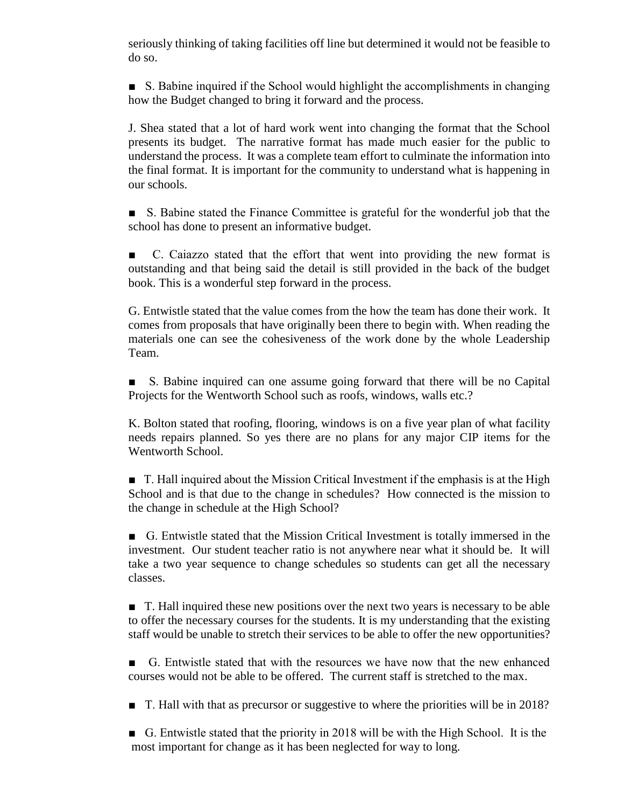seriously thinking of taking facilities off line but determined it would not be feasible to do so.

■ S. Babine inquired if the School would highlight the accomplishments in changing how the Budget changed to bring it forward and the process.

J. Shea stated that a lot of hard work went into changing the format that the School presents its budget. The narrative format has made much easier for the public to understand the process. It was a complete team effort to culminate the information into the final format. It is important for the community to understand what is happening in our schools.

■ S. Babine stated the Finance Committee is grateful for the wonderful job that the school has done to present an informative budget.

C. Caiazzo stated that the effort that went into providing the new format is outstanding and that being said the detail is still provided in the back of the budget book. This is a wonderful step forward in the process.

G. Entwistle stated that the value comes from the how the team has done their work. It comes from proposals that have originally been there to begin with. When reading the materials one can see the cohesiveness of the work done by the whole Leadership Team.

■ S. Babine inquired can one assume going forward that there will be no Capital Projects for the Wentworth School such as roofs, windows, walls etc.?

K. Bolton stated that roofing, flooring, windows is on a five year plan of what facility needs repairs planned. So yes there are no plans for any major CIP items for the Wentworth School.

■ T. Hall inquired about the Mission Critical Investment if the emphasis is at the High School and is that due to the change in schedules? How connected is the mission to the change in schedule at the High School?

■ G. Entwistle stated that the Mission Critical Investment is totally immersed in the investment. Our student teacher ratio is not anywhere near what it should be. It will take a two year sequence to change schedules so students can get all the necessary classes.

■ T. Hall inquired these new positions over the next two years is necessary to be able to offer the necessary courses for the students. It is my understanding that the existing staff would be unable to stretch their services to be able to offer the new opportunities?

■ G. Entwistle stated that with the resources we have now that the new enhanced courses would not be able to be offered. The current staff is stretched to the max.

■ T. Hall with that as precursor or suggestive to where the priorities will be in 2018?

■ G. Entwistle stated that the priority in 2018 will be with the High School. It is the most important for change as it has been neglected for way to long.